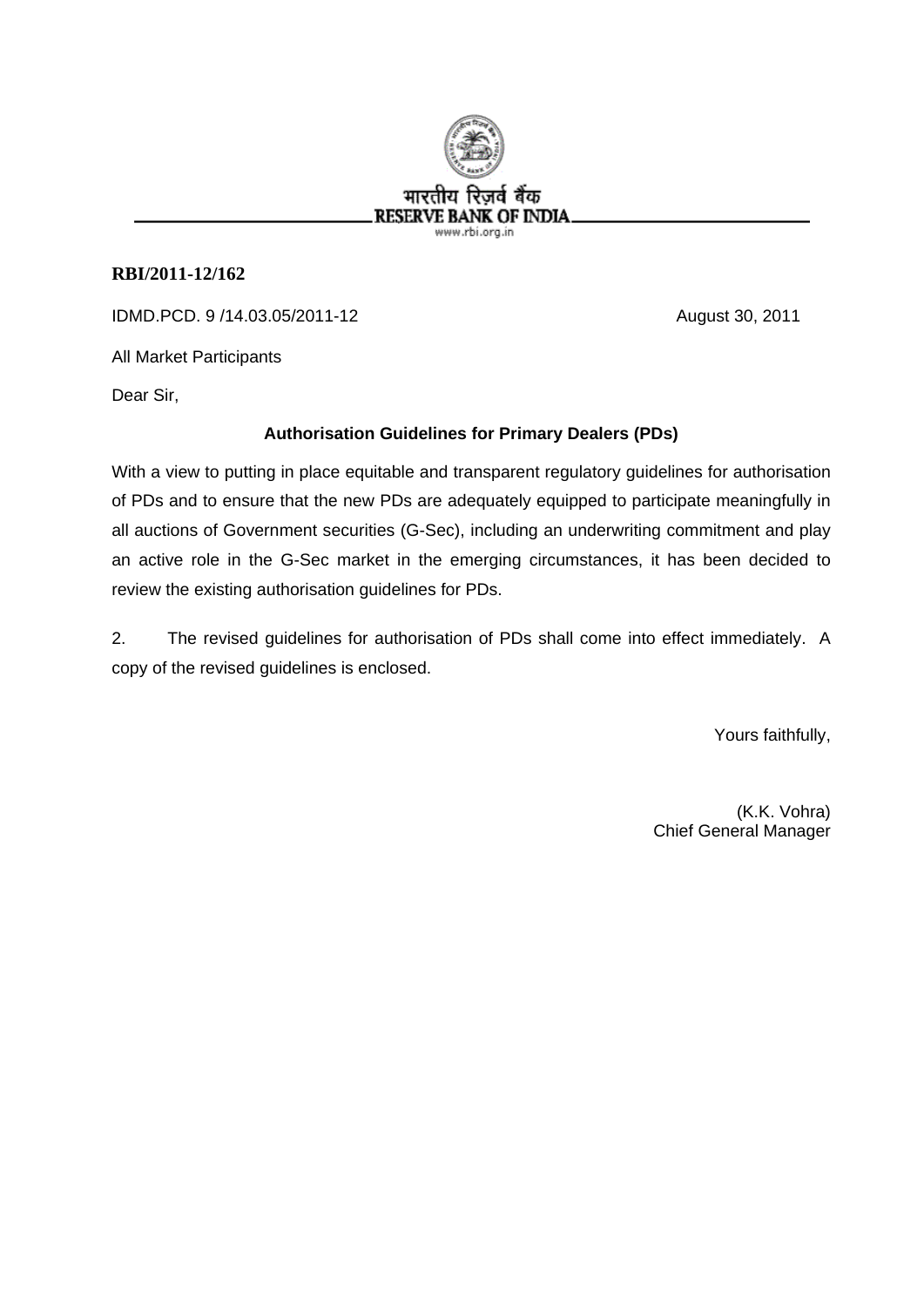

## **RBI/2011-12/162**

IDMD.PCD. 9 /14.03.05/2011-12 August 30, 2011

All Market Participants

Dear Sir,

## **Authorisation Guidelines for Primary Dealers (PDs)**

With a view to putting in place equitable and transparent regulatory guidelines for authorisation of PDs and to ensure that the new PDs are adequately equipped to participate meaningfully in all auctions of Government securities (G-Sec), including an underwriting commitment and play an active role in the G-Sec market in the emerging circumstances, it has been decided to review the existing authorisation guidelines for PDs.

2. The revised guidelines for authorisation of PDs shall come into effect immediately. A copy of the revised guidelines is enclosed.

Yours faithfully,

(K.K. Vohra) Chief General Manager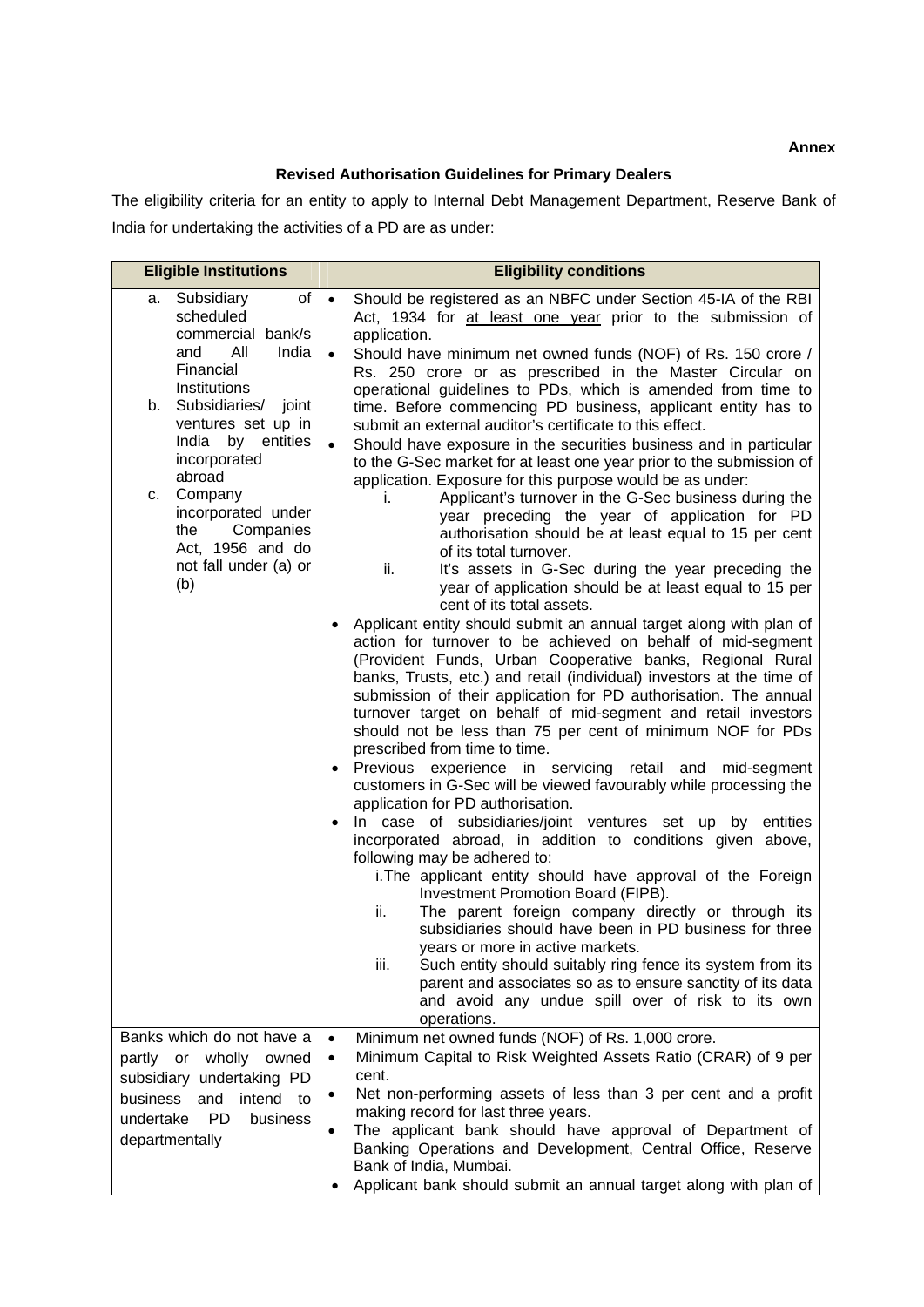## **Revised Authorisation Guidelines for Primary Dealers**

The eligibility criteria for an entity to apply to Internal Debt Management Department, Reserve Bank of India for undertaking the activities of a PD are as under:

| <b>Eligible Institutions</b>                                                                                                                                                                                                                                                                                                    | <b>Eligibility conditions</b>                                                                                                                                                                                                                                                                                                                                                                                                                                                                                                                                                                                                                                                                                                                                                                                                                                                                                                                                                                                                                                                                                                                                                                                                                                                                                                                                                                                                                                                                                                                                                                                                                                                                                                                                                                                                                                                                                                                                                                                                                                                                                                                                                                                                                                                                                                                                                                                                               |
|---------------------------------------------------------------------------------------------------------------------------------------------------------------------------------------------------------------------------------------------------------------------------------------------------------------------------------|---------------------------------------------------------------------------------------------------------------------------------------------------------------------------------------------------------------------------------------------------------------------------------------------------------------------------------------------------------------------------------------------------------------------------------------------------------------------------------------------------------------------------------------------------------------------------------------------------------------------------------------------------------------------------------------------------------------------------------------------------------------------------------------------------------------------------------------------------------------------------------------------------------------------------------------------------------------------------------------------------------------------------------------------------------------------------------------------------------------------------------------------------------------------------------------------------------------------------------------------------------------------------------------------------------------------------------------------------------------------------------------------------------------------------------------------------------------------------------------------------------------------------------------------------------------------------------------------------------------------------------------------------------------------------------------------------------------------------------------------------------------------------------------------------------------------------------------------------------------------------------------------------------------------------------------------------------------------------------------------------------------------------------------------------------------------------------------------------------------------------------------------------------------------------------------------------------------------------------------------------------------------------------------------------------------------------------------------------------------------------------------------------------------------------------------------|
| Subsidiary<br>of I<br>a.<br>scheduled<br>commercial bank/s<br>All<br>India<br>and<br>Financial<br>Institutions<br>Subsidiaries/ joint<br>b.<br>ventures set up in<br>India by entities<br>incorporated<br>abroad<br>Company<br>c.<br>incorporated under<br>Companies<br>the<br>Act, 1956 and do<br>not fall under (a) or<br>(b) | Should be registered as an NBFC under Section 45-IA of the RBI<br>$\bullet$<br>Act, 1934 for at least one year prior to the submission of<br>application.<br>Should have minimum net owned funds (NOF) of Rs. 150 crore /<br>$\bullet$<br>Rs. 250 crore or as prescribed in the Master Circular on<br>operational guidelines to PDs, which is amended from time to<br>time. Before commencing PD business, applicant entity has to<br>submit an external auditor's certificate to this effect.<br>Should have exposure in the securities business and in particular<br>$\bullet$<br>to the G-Sec market for at least one year prior to the submission of<br>application. Exposure for this purpose would be as under:<br>Applicant's turnover in the G-Sec business during the<br>i.<br>year preceding the year of application for PD<br>authorisation should be at least equal to 15 per cent<br>of its total turnover.<br>It's assets in G-Sec during the year preceding the<br>ii.<br>year of application should be at least equal to 15 per<br>cent of its total assets.<br>Applicant entity should submit an annual target along with plan of<br>$\bullet$<br>action for turnover to be achieved on behalf of mid-segment<br>(Provident Funds, Urban Cooperative banks, Regional Rural<br>banks, Trusts, etc.) and retail (individual) investors at the time of<br>submission of their application for PD authorisation. The annual<br>turnover target on behalf of mid-segment and retail investors<br>should not be less than 75 per cent of minimum NOF for PDs<br>prescribed from time to time.<br>Previous experience in servicing retail and mid-segment<br>$\bullet$<br>customers in G-Sec will be viewed favourably while processing the<br>application for PD authorisation.<br>In case of subsidiaries/joint ventures set up by entities<br>$\bullet$<br>incorporated abroad, in addition to conditions given above,<br>following may be adhered to:<br>i. The applicant entity should have approval of the Foreign<br>Investment Promotion Board (FIPB).<br>The parent foreign company directly or through its<br>ii.<br>subsidiaries should have been in PD business for three<br>years or more in active markets.<br>iii.<br>Such entity should suitably ring fence its system from its<br>parent and associates so as to ensure sanctity of its data<br>and avoid any undue spill over of risk to its own<br>operations. |
| Banks which do not have a<br>partly or wholly owned                                                                                                                                                                                                                                                                             | Minimum net owned funds (NOF) of Rs. 1,000 crore.<br>$\bullet$<br>Minimum Capital to Risk Weighted Assets Ratio (CRAR) of 9 per<br>$\bullet$                                                                                                                                                                                                                                                                                                                                                                                                                                                                                                                                                                                                                                                                                                                                                                                                                                                                                                                                                                                                                                                                                                                                                                                                                                                                                                                                                                                                                                                                                                                                                                                                                                                                                                                                                                                                                                                                                                                                                                                                                                                                                                                                                                                                                                                                                                |
| subsidiary undertaking PD<br>business<br>intend to<br>and                                                                                                                                                                                                                                                                       | cent.<br>Net non-performing assets of less than 3 per cent and a profit<br>٠                                                                                                                                                                                                                                                                                                                                                                                                                                                                                                                                                                                                                                                                                                                                                                                                                                                                                                                                                                                                                                                                                                                                                                                                                                                                                                                                                                                                                                                                                                                                                                                                                                                                                                                                                                                                                                                                                                                                                                                                                                                                                                                                                                                                                                                                                                                                                                |
| undertake<br><b>PD</b><br>business                                                                                                                                                                                                                                                                                              | making record for last three years.<br>The applicant bank should have approval of Department of<br>$\bullet$                                                                                                                                                                                                                                                                                                                                                                                                                                                                                                                                                                                                                                                                                                                                                                                                                                                                                                                                                                                                                                                                                                                                                                                                                                                                                                                                                                                                                                                                                                                                                                                                                                                                                                                                                                                                                                                                                                                                                                                                                                                                                                                                                                                                                                                                                                                                |
| departmentally                                                                                                                                                                                                                                                                                                                  | Banking Operations and Development, Central Office, Reserve<br>Bank of India, Mumbai.                                                                                                                                                                                                                                                                                                                                                                                                                                                                                                                                                                                                                                                                                                                                                                                                                                                                                                                                                                                                                                                                                                                                                                                                                                                                                                                                                                                                                                                                                                                                                                                                                                                                                                                                                                                                                                                                                                                                                                                                                                                                                                                                                                                                                                                                                                                                                       |
|                                                                                                                                                                                                                                                                                                                                 | Applicant bank should submit an annual target along with plan of<br>٠                                                                                                                                                                                                                                                                                                                                                                                                                                                                                                                                                                                                                                                                                                                                                                                                                                                                                                                                                                                                                                                                                                                                                                                                                                                                                                                                                                                                                                                                                                                                                                                                                                                                                                                                                                                                                                                                                                                                                                                                                                                                                                                                                                                                                                                                                                                                                                       |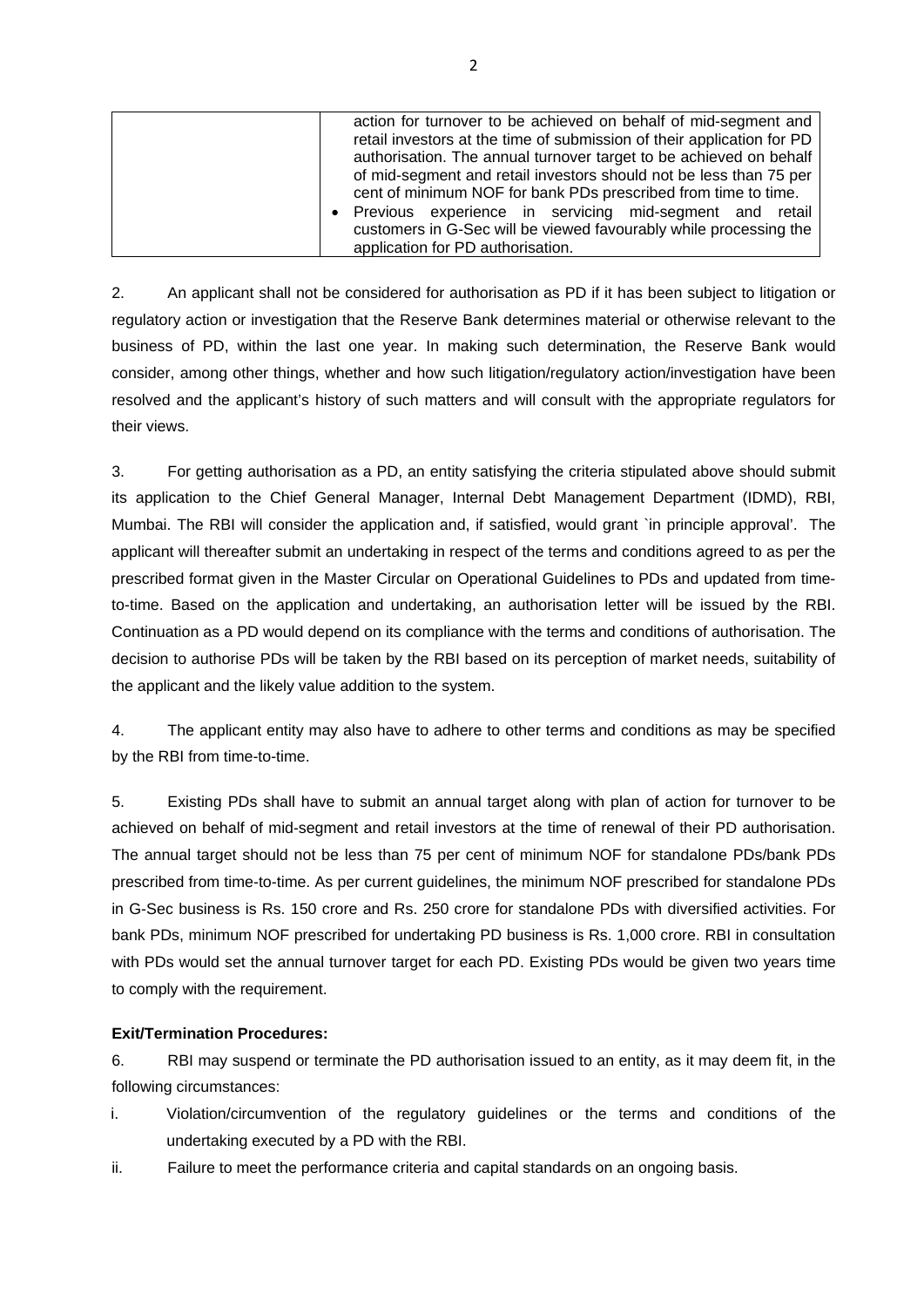| • Previous experience in servicing mid-segment and retail<br>customers in G-Sec will be viewed favourably while processing the<br>application for PD authorisation. |
|---------------------------------------------------------------------------------------------------------------------------------------------------------------------|
|---------------------------------------------------------------------------------------------------------------------------------------------------------------------|

2. An applicant shall not be considered for authorisation as PD if it has been subject to litigation or regulatory action or investigation that the Reserve Bank determines material or otherwise relevant to the business of PD, within the last one year. In making such determination, the Reserve Bank would consider, among other things, whether and how such litigation/regulatory action/investigation have been resolved and the applicant's history of such matters and will consult with the appropriate regulators for their views.

3. For getting authorisation as a PD, an entity satisfying the criteria stipulated above should submit its application to the Chief General Manager, Internal Debt Management Department (IDMD), RBI, Mumbai. The RBI will consider the application and, if satisfied, would grant `in principle approval'. The applicant will thereafter submit an undertaking in respect of the terms and conditions agreed to as per the prescribed format given in the Master Circular on Operational Guidelines to PDs and updated from timeto-time. Based on the application and undertaking, an authorisation letter will be issued by the RBI. Continuation as a PD would depend on its compliance with the terms and conditions of authorisation. The decision to authorise PDs will be taken by the RBI based on its perception of market needs, suitability of the applicant and the likely value addition to the system.

4. The applicant entity may also have to adhere to other terms and conditions as may be specified by the RBI from time-to-time.

5. Existing PDs shall have to submit an annual target along with plan of action for turnover to be achieved on behalf of mid-segment and retail investors at the time of renewal of their PD authorisation. The annual target should not be less than 75 per cent of minimum NOF for standalone PDs/bank PDs prescribed from time-to-time. As per current guidelines, the minimum NOF prescribed for standalone PDs in G-Sec business is Rs. 150 crore and Rs. 250 crore for standalone PDs with diversified activities. For bank PDs, minimum NOF prescribed for undertaking PD business is Rs. 1,000 crore. RBI in consultation with PDs would set the annual turnover target for each PD. Existing PDs would be given two vears time to comply with the requirement.

## **Exit/Termination Procedures:**

6. RBI may suspend or terminate the PD authorisation issued to an entity, as it may deem fit, in the following circumstances:

- i. Violation/circumvention of the regulatory guidelines or the terms and conditions of the undertaking executed by a PD with the RBI.
- ii. Failure to meet the performance criteria and capital standards on an ongoing basis.